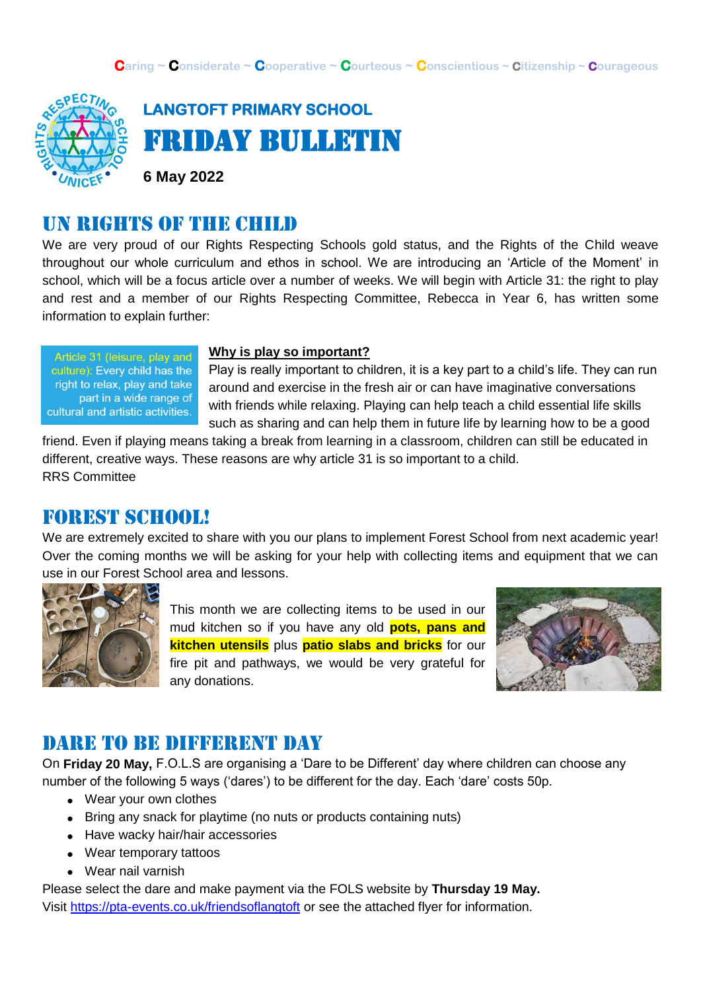

**LANGTOFT PRIMARY SCHOOL**  Friday Bulletin

**6 May 2022**

#### UN rights of the child

We are very proud of our Rights Respecting Schools gold status, and the Rights of the Child weave throughout our whole curriculum and ethos in school. We are introducing an 'Article of the Moment' in school, which will be a focus article over a number of weeks. We will begin with Article 31: the right to play and rest and a member of our Rights Respecting Committee, Rebecca in Year 6, has written some information to explain further:

Article 31 (leisure, play and culture): Every child has the right to relax, play and take part in a wide range of cultural and artistic activities.

#### **Why is play so important?**

Play is really important to children, it is a key part to a child's life. They can run around and exercise in the fresh air or can have imaginative conversations with friends while relaxing. Playing can help teach a child essential life skills such as sharing and can help them in future life by learning how to be a good

friend. Even if playing means taking a break from learning in a classroom, children can still be educated in different, creative ways. These reasons are why article 31 is so important to a child. RRS Committee

#### Forest school!

We are extremely excited to share with you our plans to implement Forest School from next academic year! Over the coming months we will be asking for your help with collecting items and equipment that we can use in our Forest School area and lessons.



This month we are collecting items to be used in our mud kitchen so if you have any old **pots, pans and kitchen utensils** plus **patio slabs and bricks** for our fire pit and pathways, we would be very grateful for any donations.



#### DARE TO BE DIFFERENT DAY

On **Friday 20 May,** F.O.L.S are organising a 'Dare to be Different' day where children can choose any number of the following 5 ways ('dares') to be different for the day. Each 'dare' costs 50p.

- Wear your own clothes
- Bring any snack for playtime (no nuts or products containing nuts)
- Have wacky hair/hair accessories
- Wear temporary tattoos
- Wear nail varnish

Please select the dare and make payment via the FOLS website by **Thursday 19 May.** Visit<https://pta-events.co.uk/friendsoflangtoft> or see the attached flyer for information.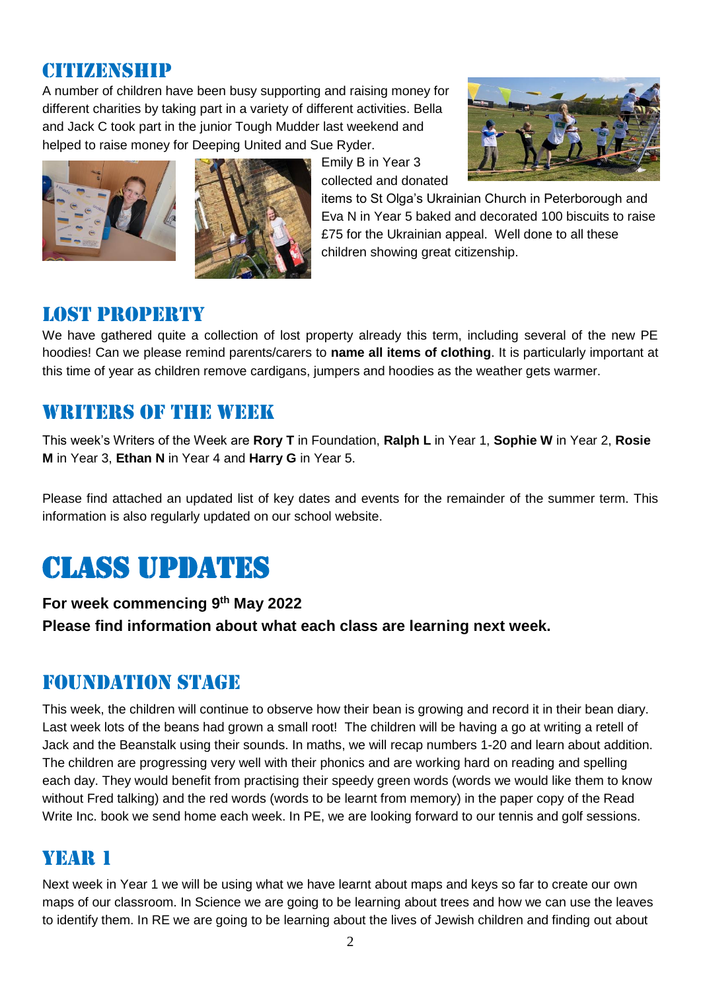#### **CITIVARNSHIP**

A number of children have been busy supporting and raising money for different charities by taking part in a variety of different activities. Bella and Jack C took part in the junior Tough Mudder last weekend and helped to raise money for Deeping United and Sue Ryder.





Emily B in Year 3 collected and donated



items to St Olga's Ukrainian Church in Peterborough and Eva N in Year 5 baked and decorated 100 biscuits to raise £75 for the Ukrainian appeal. Well done to all these children showing great citizenship.

#### Lost property

We have gathered quite a collection of lost property already this term, including several of the new PE hoodies! Can we please remind parents/carers to **name all items of clothing**. It is particularly important at this time of year as children remove cardigans, jumpers and hoodies as the weather gets warmer.

## WRITERS OF THE WEEK

This week's Writers of the Week are **Rory T** in Foundation, **Ralph L** in Year 1, **Sophie W** in Year 2, **Rosie M** in Year 3, **Ethan N** in Year 4 and **Harry G** in Year 5.

Please find attached an updated list of key dates and events for the remainder of the summer term. This information is also regularly updated on our school website.

# Class updates

**For week commencing 9 th May 2022 Please find information about what each class are learning next week.** 

## Foundation stage

This week, the children will continue to observe how their bean is growing and record it in their bean diary. Last week lots of the beans had grown a small root! The children will be having a go at writing a retell of Jack and the Beanstalk using their sounds. In maths, we will recap numbers 1-20 and learn about addition. The children are progressing very well with their phonics and are working hard on reading and spelling each day. They would benefit from practising their speedy green words (words we would like them to know without Fred talking) and the red words (words to be learnt from memory) in the paper copy of the Read Write Inc. book we send home each week. In PE, we are looking forward to our tennis and golf sessions.

## YEAR 1

Next week in Year 1 we will be using what we have learnt about maps and keys so far to create our own maps of our classroom. In Science we are going to be learning about trees and how we can use the leaves to identify them. In RE we are going to be learning about the lives of Jewish children and finding out about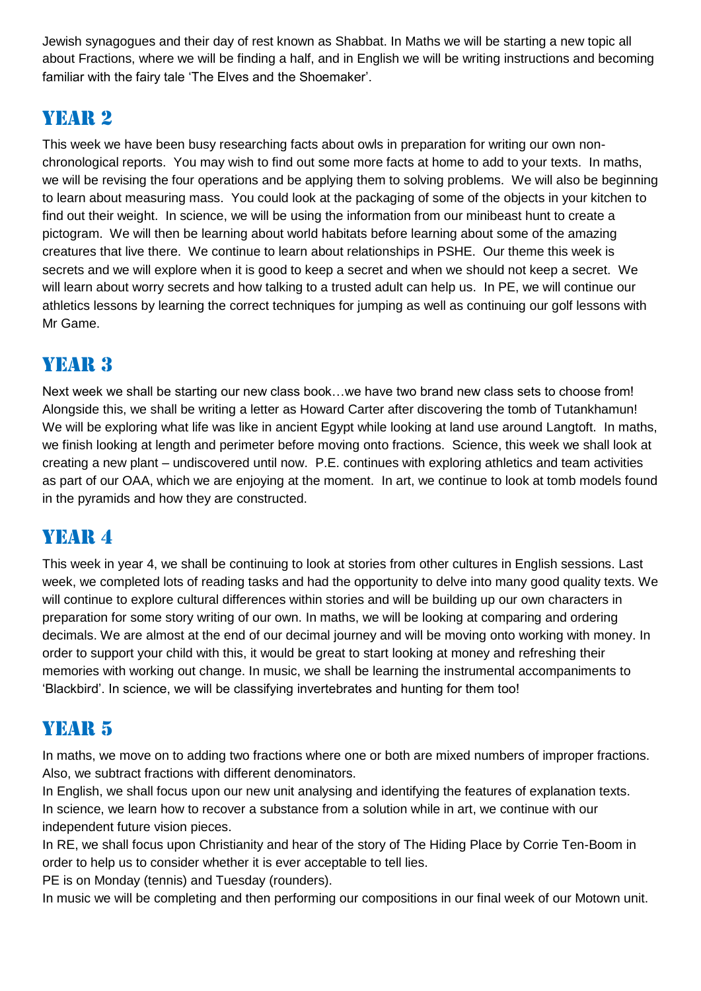Jewish synagogues and their day of rest known as Shabbat. In Maths we will be starting a new topic all about Fractions, where we will be finding a half, and in English we will be writing instructions and becoming familiar with the fairy tale 'The Elves and the Shoemaker'.

## Year 2

This week we have been busy researching facts about owls in preparation for writing our own nonchronological reports. You may wish to find out some more facts at home to add to your texts. In maths, we will be revising the four operations and be applying them to solving problems. We will also be beginning to learn about measuring mass. You could look at the packaging of some of the objects in your kitchen to find out their weight. In science, we will be using the information from our minibeast hunt to create a pictogram. We will then be learning about world habitats before learning about some of the amazing creatures that live there. We continue to learn about relationships in PSHE. Our theme this week is secrets and we will explore when it is good to keep a secret and when we should not keep a secret. We will learn about worry secrets and how talking to a trusted adult can help us. In PE, we will continue our athletics lessons by learning the correct techniques for jumping as well as continuing our golf lessons with Mr Game.

# YEAR 3

Next week we shall be starting our new class book…we have two brand new class sets to choose from! Alongside this, we shall be writing a letter as Howard Carter after discovering the tomb of Tutankhamun! We will be exploring what life was like in ancient Egypt while looking at land use around Langtoft. In maths, we finish looking at length and perimeter before moving onto fractions. Science, this week we shall look at creating a new plant – undiscovered until now. P.E. continues with exploring athletics and team activities as part of our OAA, which we are enjoying at the moment. In art, we continue to look at tomb models found in the pyramids and how they are constructed.

## YEAR 4

This week in year 4, we shall be continuing to look at stories from other cultures in English sessions. Last week, we completed lots of reading tasks and had the opportunity to delve into many good quality texts. We will continue to explore cultural differences within stories and will be building up our own characters in preparation for some story writing of our own. In maths, we will be looking at comparing and ordering decimals. We are almost at the end of our decimal journey and will be moving onto working with money. In order to support your child with this, it would be great to start looking at money and refreshing their memories with working out change. In music, we shall be learning the instrumental accompaniments to 'Blackbird'. In science, we will be classifying invertebrates and hunting for them too!

# YEAR 5

In maths, we move on to adding two fractions where one or both are mixed numbers of improper fractions. Also, we subtract fractions with different denominators.

In English, we shall focus upon our new unit analysing and identifying the features of explanation texts. In science, we learn how to recover a substance from a solution while in art, we continue with our independent future vision pieces.

In RE, we shall focus upon Christianity and hear of the story of The Hiding Place by Corrie Ten-Boom in order to help us to consider whether it is ever acceptable to tell lies.

PE is on Monday (tennis) and Tuesday (rounders).

In music we will be completing and then performing our compositions in our final week of our Motown unit.